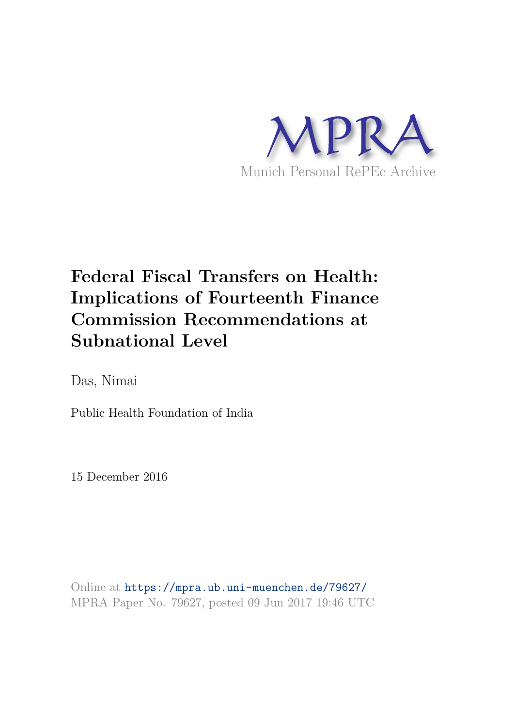

# **Federal Fiscal Transfers on Health: Implications of Fourteenth Finance Commission Recommendations at Subnational Level**

Das, Nimai

Public Health Foundation of India

15 December 2016

Online at https://mpra.ub.uni-muenchen.de/79627/ MPRA Paper No. 79627, posted 09 Jun 2017 19:46 UTC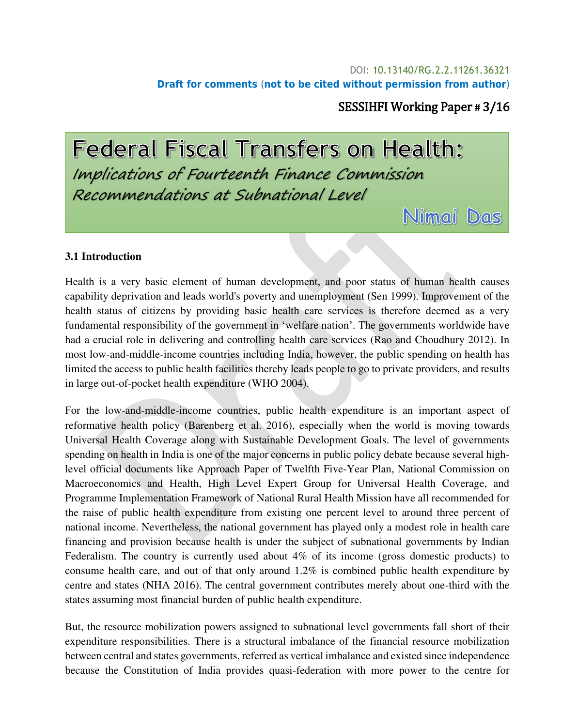#### DOI: [10.13140/RG.2.2.11261.36321](http://dx.doi.org/10.13140/RG.2.2.11261.36321) **Draft for comments** (**not to be cited without permission from author**)

## SESSIHFI Working Paper # 3/16

Nimmai Das

**Federal Fiscal Transfers on Health:** Implications of Fourteenth Finance Commission Recommendations at Subnational Level

#### **3.1 Introduction**

Health is a very basic element of human development, and poor status of human health causes capability deprivation and leads world's poverty and unemployment (Sen 1999). Improvement of the health status of citizens by providing basic health care services is therefore deemed as a very fundamental responsibility of the government in 'welfare nation'. The governments worldwide have had a crucial role in delivering and controlling health care services (Rao and Choudhury 2012). In most low-and-middle-income countries including India, however, the public spending on health has limited the access to public health facilities thereby leads people to go to private providers, and results in large out-of-pocket health expenditure (WHO 2004).

For the low-and-middle-income countries, public health expenditure is an important aspect of reformative health policy (Barenberg et al. 2016), especially when the world is moving towards Universal Health Coverage along with Sustainable Development Goals. The level of governments spending on health in India is one of the major concerns in public policy debate because several highlevel official documents like Approach Paper of Twelfth Five-Year Plan, National Commission on Macroeconomics and Health, High Level Expert Group for Universal Health Coverage, and Programme Implementation Framework of National Rural Health Mission have all recommended for the raise of public health expenditure from existing one percent level to around three percent of national income. Nevertheless, the national government has played only a modest role in health care financing and provision because health is under the subject of subnational governments by Indian Federalism. The country is currently used about 4% of its income (gross domestic products) to consume health care, and out of that only around 1.2% is combined public health expenditure by centre and states (NHA 2016). The central government contributes merely about one-third with the states assuming most financial burden of public health expenditure.

But, the resource mobilization powers assigned to subnational level governments fall short of their expenditure responsibilities. There is a structural imbalance of the financial resource mobilization between central and states governments, referred as vertical imbalance and existed since independence because the Constitution of India provides quasi-federation with more power to the centre for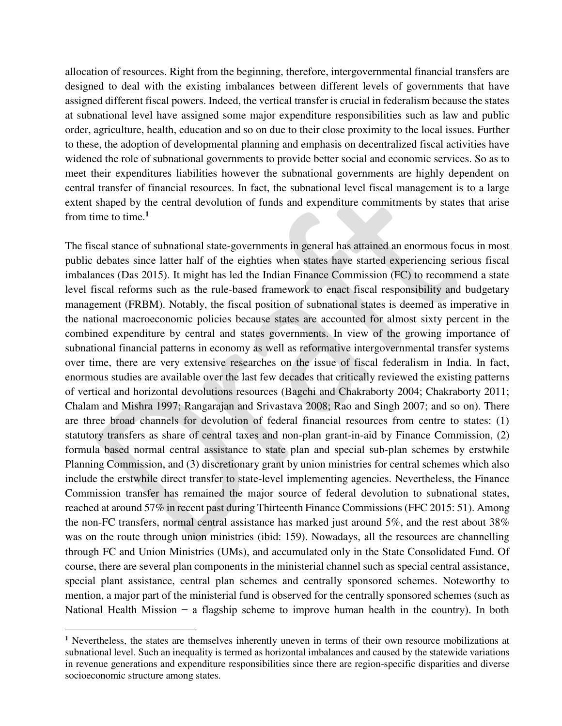allocation of resources. Right from the beginning, therefore, intergovernmental financial transfers are designed to deal with the existing imbalances between different levels of governments that have assigned different fiscal powers. Indeed, the vertical transfer is crucial in federalism because the states at subnational level have assigned some major expenditure responsibilities such as law and public order, agriculture, health, education and so on due to their close proximity to the local issues. Further to these, the adoption of developmental planning and emphasis on decentralized fiscal activities have widened the role of subnational governments to provide better social and economic services. So as to meet their expenditures liabilities however the subnational governments are highly dependent on central transfer of financial resources. In fact, the subnational level fiscal management is to a large extent shaped by the central devolution of funds and expenditure commitments by states that arise from time to time.**<sup>1</sup>**

The fiscal stance of subnational state-governments in general has attained an enormous focus in most public debates since latter half of the eighties when states have started experiencing serious fiscal imbalances (Das 2015). It might has led the Indian Finance Commission (FC) to recommend a state level fiscal reforms such as the rule-based framework to enact fiscal responsibility and budgetary management (FRBM). Notably, the fiscal position of subnational states is deemed as imperative in the national macroeconomic policies because states are accounted for almost sixty percent in the combined expenditure by central and states governments. In view of the growing importance of subnational financial patterns in economy as well as reformative intergovernmental transfer systems over time, there are very extensive researches on the issue of fiscal federalism in India. In fact, enormous studies are available over the last few decades that critically reviewed the existing patterns of vertical and horizontal devolutions resources (Bagchi and Chakraborty 2004; Chakraborty 2011; Chalam and Mishra 1997; Rangarajan and Srivastava 2008; Rao and Singh 2007; and so on). There are three broad channels for devolution of federal financial resources from centre to states: (1) statutory transfers as share of central taxes and non-plan grant-in-aid by Finance Commission, (2) formula based normal central assistance to state plan and special sub-plan schemes by erstwhile Planning Commission, and (3) discretionary grant by union ministries for central schemes which also include the erstwhile direct transfer to state-level implementing agencies. Nevertheless, the Finance Commission transfer has remained the major source of federal devolution to subnational states, reached at around 57% in recent past during Thirteenth Finance Commissions (FFC 2015: 51). Among the non-FC transfers, normal central assistance has marked just around 5%, and the rest about 38% was on the route through union ministries (ibid: 159). Nowadays, all the resources are channelling through FC and Union Ministries (UMs), and accumulated only in the State Consolidated Fund. Of course, there are several plan components in the ministerial channel such as special central assistance, special plant assistance, central plan schemes and centrally sponsored schemes. Noteworthy to mention, a major part of the ministerial fund is observed for the centrally sponsored schemes (such as National Health Mission − a flagship scheme to improve human health in the country). In both

 $\overline{a}$ 

<sup>&</sup>lt;sup>1</sup> Nevertheless, the states are themselves inherently uneven in terms of their own resource mobilizations at subnational level. Such an inequality is termed as horizontal imbalances and caused by the statewide variations in revenue generations and expenditure responsibilities since there are region-specific disparities and diverse socioeconomic structure among states.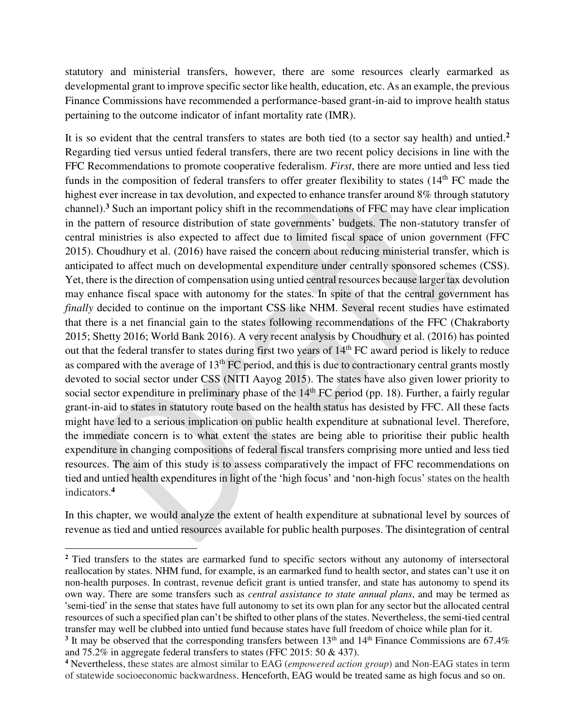statutory and ministerial transfers, however, there are some resources clearly earmarked as developmental grant to improve specific sector like health, education, etc. As an example, the previous Finance Commissions have recommended a performance-based grant-in-aid to improve health status pertaining to the outcome indicator of infant mortality rate (IMR).

It is so evident that the central transfers to states are both tied (to a sector say health) and untied.**<sup>2</sup>** Regarding tied versus untied federal transfers, there are two recent policy decisions in line with the FFC Recommendations to promote cooperative federalism. *First*, there are more untied and less tied funds in the composition of federal transfers to offer greater flexibility to states  $(14<sup>th</sup> FC)$  made the highest ever increase in tax devolution, and expected to enhance transfer around 8% through statutory channel).**<sup>3</sup>** Such an important policy shift in the recommendations of FFC may have clear implication in the pattern of resource distribution of state governments' budgets. The non-statutory transfer of central ministries is also expected to affect due to limited fiscal space of union government (FFC 2015). Choudhury et al. (2016) have raised the concern about reducing ministerial transfer, which is anticipated to affect much on developmental expenditure under centrally sponsored schemes (CSS). Yet, there is the direction of compensation using untied central resources because larger tax devolution may enhance fiscal space with autonomy for the states. In spite of that the central government has *finally* decided to continue on the important CSS like NHM. Several recent studies have estimated that there is a net financial gain to the states following recommendations of the FFC (Chakraborty 2015; Shetty 2016; World Bank 2016). A very recent analysis by Choudhury et al. (2016) has pointed out that the federal transfer to states during first two years of 14<sup>th</sup> FC award period is likely to reduce as compared with the average of  $13<sup>th</sup>$  FC period, and this is due to contractionary central grants mostly devoted to social sector under CSS (NITI Aayog 2015). The states have also given lower priority to social sector expenditure in preliminary phase of the  $14<sup>th</sup>$  FC period (pp. 18). Further, a fairly regular grant-in-aid to states in statutory route based on the health status has desisted by FFC. All these facts might have led to a serious implication on public health expenditure at subnational level. Therefore, the immediate concern is to what extent the states are being able to prioritise their public health expenditure in changing compositions of federal fiscal transfers comprising more untied and less tied resources. The aim of this study is to assess comparatively the impact of FFC recommendations on tied and untied health expenditures in light of the 'high focus' and 'non-high focus' states on the health indicators.**<sup>4</sup>**

In this chapter, we would analyze the extent of health expenditure at subnational level by sources of revenue as tied and untied resources available for public health purposes. The disintegration of central

 $\overline{a}$ 

<sup>&</sup>lt;sup>2</sup> Tied transfers to the states are earmarked fund to specific sectors without any autonomy of intersectoral reallocation by states. NHM fund, for example, is an earmarked fund to health sector, and states can't use it on non-health purposes. In contrast, revenue deficit grant is untied transfer, and state has autonomy to spend its own way. There are some transfers such as *central assistance to state annual plans*, and may be termed as 'semi-tied' in the sense that states have full autonomy to set its own plan for any sector but the allocated central resources of such a specified plan can't be shifted to other plans of the states. Nevertheless, the semi-tied central transfer may well be clubbed into untied fund because states have full freedom of choice while plan for it.

<sup>&</sup>lt;sup>3</sup> It may be observed that the corresponding transfers between  $13<sup>th</sup>$  and  $14<sup>th</sup>$  Finance Commissions are  $67.4\%$ and 75.2% in aggregate federal transfers to states (FFC 2015: 50 & 437).

**<sup>4</sup>** Nevertheless, these states are almost similar to EAG (*empowered action group*) and Non-EAG states in term of statewide socioeconomic backwardness. Henceforth, EAG would be treated same as high focus and so on.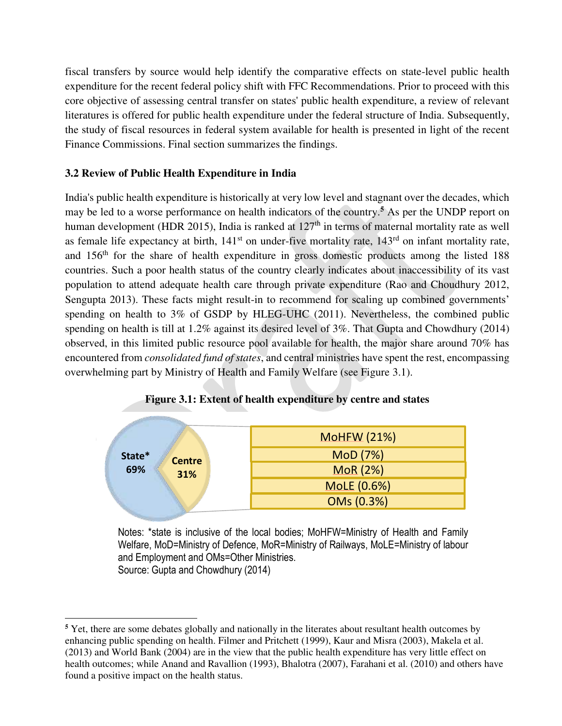fiscal transfers by source would help identify the comparative effects on state-level public health expenditure for the recent federal policy shift with FFC Recommendations. Prior to proceed with this core objective of assessing central transfer on states' public health expenditure, a review of relevant literatures is offered for public health expenditure under the federal structure of India. Subsequently, the study of fiscal resources in federal system available for health is presented in light of the recent Finance Commissions. Final section summarizes the findings.

## **3.2 Review of Public Health Expenditure in India**

l

India's public health expenditure is historically at very low level and stagnant over the decades, which may be led to a worse performance on health indicators of the country.<sup>5</sup> As per the UNDP report on human development (HDR 2015), India is ranked at  $127<sup>th</sup>$  in terms of maternal mortality rate as well as female life expectancy at birth,  $141<sup>st</sup>$  on under-five mortality rate,  $143<sup>rd</sup>$  on infant mortality rate, and 156<sup>th</sup> for the share of health expenditure in gross domestic products among the listed 188 countries. Such a poor health status of the country clearly indicates about inaccessibility of its vast population to attend adequate health care through private expenditure (Rao and Choudhury 2012, Sengupta 2013). These facts might result-in to recommend for scaling up combined governments' spending on health to 3% of GSDP by HLEG-UHC (2011). Nevertheless, the combined public spending on health is till at 1.2% against its desired level of 3%. That Gupta and Chowdhury (2014) observed, in this limited public resource pool available for health, the major share around 70% has encountered from *consolidated fund of states*, and central ministries have spent the rest, encompassing overwhelming part by Ministry of Health and Family Welfare (see Figure 3.1).



#### **Figure 3.1: Extent of health expenditure by centre and states**

Notes: \*state is inclusive of the local bodies; MoHFW=Ministry of Health and Family Welfare, MoD=Ministry of Defence, MoR=Ministry of Railways, MoLE=Ministry of labour and Employment and OMs=Other Ministries. Source: Gupta and Chowdhury (2014)

<sup>&</sup>lt;sup>5</sup> Yet, there are some debates globally and nationally in the literates about resultant health outcomes by enhancing public spending on health. Filmer and Pritchett (1999), Kaur and Misra (2003), Makela et al. (2013) and World Bank (2004) are in the view that the public health expenditure has very little effect on health outcomes; while Anand and Ravallion (1993), Bhalotra (2007), Farahani et al. (2010) and others have found a positive impact on the health status.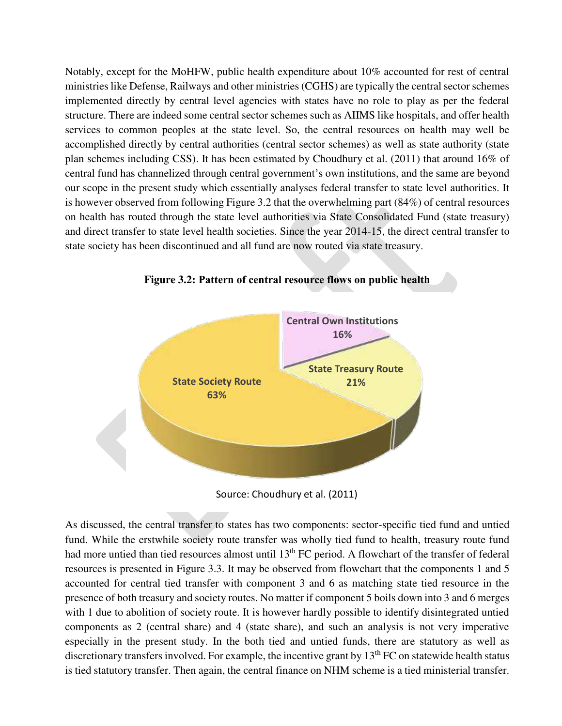Notably, except for the MoHFW, public health expenditure about 10% accounted for rest of central ministries like Defense, Railways and other ministries (CGHS) are typically the central sector schemes implemented directly by central level agencies with states have no role to play as per the federal structure. There are indeed some central sector schemes such as AIIMS like hospitals, and offer health services to common peoples at the state level. So, the central resources on health may well be accomplished directly by central authorities (central sector schemes) as well as state authority (state plan schemes including CSS). It has been estimated by Choudhury et al. (2011) that around 16% of central fund has channelized through central government's own institutions, and the same are beyond our scope in the present study which essentially analyses federal transfer to state level authorities. It is however observed from following Figure 3.2 that the overwhelming part (84%) of central resources on health has routed through the state level authorities via State Consolidated Fund (state treasury) and direct transfer to state level health societies. Since the year 2014-15, the direct central transfer to state society has been discontinued and all fund are now routed via state treasury.



**Figure 3.2: Pattern of central resource flows on public health**

Source: Choudhury et al. (2011)

As discussed, the central transfer to states has two components: sector-specific tied fund and untied fund. While the erstwhile society route transfer was wholly tied fund to health, treasury route fund had more untied than tied resources almost until 13<sup>th</sup> FC period. A flowchart of the transfer of federal resources is presented in Figure 3.3. It may be observed from flowchart that the components 1 and 5 accounted for central tied transfer with component 3 and 6 as matching state tied resource in the presence of both treasury and society routes. No matter if component 5 boils down into 3 and 6 merges with 1 due to abolition of society route. It is however hardly possible to identify disintegrated untied components as 2 (central share) and 4 (state share), and such an analysis is not very imperative especially in the present study. In the both tied and untied funds, there are statutory as well as discretionary transfers involved. For example, the incentive grant by  $13<sup>th</sup> FC$  on statewide health status is tied statutory transfer. Then again, the central finance on NHM scheme is a tied ministerial transfer.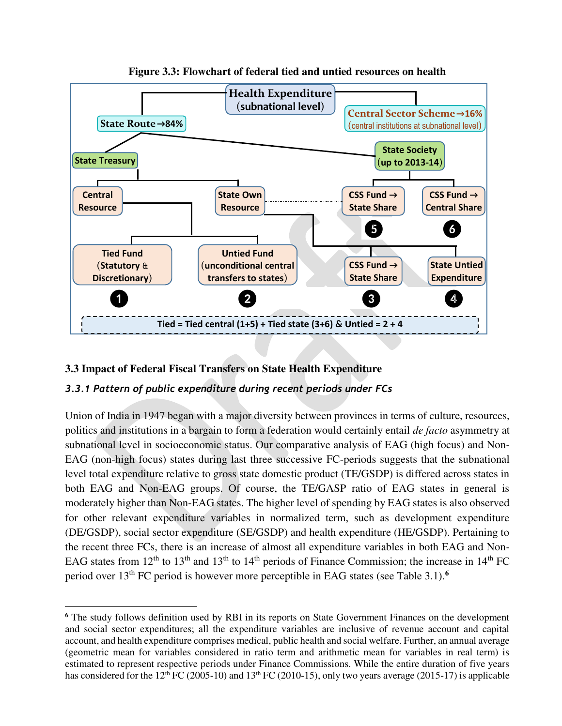

## **Figure 3.3: Flowchart of federal tied and untied resources on health**

## **3.3 Impact of Federal Fiscal Transfers on State Health Expenditure**

l

## *3.3.1 Pattern of public expenditure during recent periods under FCs*

Union of India in 1947 began with a major diversity between provinces in terms of culture, resources, politics and institutions in a bargain to form a federation would certainly entail *de facto* asymmetry at subnational level in socioeconomic status. Our comparative analysis of EAG (high focus) and Non-EAG (non-high focus) states during last three successive FC-periods suggests that the subnational level total expenditure relative to gross state domestic product (TE/GSDP) is differed across states in both EAG and Non-EAG groups. Of course, the TE/GASP ratio of EAG states in general is moderately higher than Non-EAG states. The higher level of spending by EAG states is also observed for other relevant expenditure variables in normalized term, such as development expenditure (DE/GSDP), social sector expenditure (SE/GSDP) and health expenditure (HE/GSDP). Pertaining to the recent three FCs, there is an increase of almost all expenditure variables in both EAG and Non-EAG states from  $12<sup>th</sup>$  to  $13<sup>th</sup>$  and  $13<sup>th</sup>$  to  $14<sup>th</sup>$  periods of Finance Commission; the increase in  $14<sup>th</sup>$  FC period over 13th FC period is however more perceptible in EAG states (see Table 3.1).**<sup>6</sup>**

<sup>&</sup>lt;sup>6</sup> The study follows definition used by RBI in its reports on State Government Finances on the development and social sector expenditures; all the expenditure variables are inclusive of revenue account and capital account, and health expenditure comprises medical, public health and social welfare. Further, an annual average (geometric mean for variables considered in ratio term and arithmetic mean for variables in real term) is estimated to represent respective periods under Finance Commissions. While the entire duration of five years has considered for the 12<sup>th</sup> FC (2005-10) and 13<sup>th</sup> FC (2010-15), only two years average (2015-17) is applicable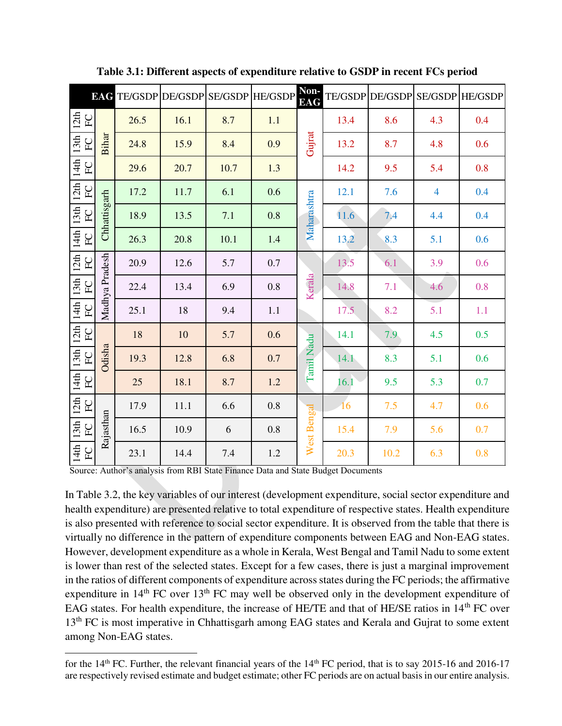|                         | <b>EAG</b>     |      | TE/GSDP DE/GSDP SE/GSDP HE/GSDP |      |     | Non-<br><b>EAG</b> | <b>TE/GSDP</b> | DE/GSDP |                | SE/GSDP HE/GSDP |
|-------------------------|----------------|------|---------------------------------|------|-----|--------------------|----------------|---------|----------------|-----------------|
| 12th<br>E               |                | 26.5 | 16.1                            | 8.7  | 1.1 |                    | 13.4           | 8.6     | 4.3            | 0.4             |
| 13th<br>$\overline{FC}$ | Bihar          | 24.8 | 15.9                            | 8.4  | 0.9 | Gujrat             | 13.2           | 8.7     | 4.8            | 0.6             |
| 14th<br>$\overline{F}$  |                | 29.6 | 20.7                            | 10.7 | 1.3 |                    | 14.2           | 9.5     | 5.4            | 0.8             |
| 12 <sub>th</sub><br>FC  |                | 17.2 | 11.7                            | 6.1  | 0.6 |                    | 12.1           | 7.6     | $\overline{4}$ | 0.4             |
| 13th<br>E               | Chhattisgarh   | 18.9 | 13.5                            | 7.1  | 0.8 | Maharashtra        | 11.6           | 7.4     | 4.4            | 0.4             |
| 14th<br>$\overline{F}$  |                | 26.3 | 20.8                            | 10.1 | 1.4 |                    | 13.2           | 8.3     | 5.1            | 0.6             |
| 12th<br>$\overline{F}$  |                | 20.9 | 12.6                            | 5.7  | 0.7 | Kerala             | 13.5           | 6.1     | 3.9            | 0.6             |
| 13th<br>E               | Madhya Pradesh | 22.4 | 13.4                            | 6.9  | 0.8 |                    | 14.8           | 7.1     | 4.6            | 0.8             |
| 14th<br>$\overline{F}C$ |                | 25.1 | 18                              | 9.4  | 1.1 |                    | 17.5           | 8.2     | 5.1            | 1.1             |
| 12 <sub>th</sub><br>EC  |                | 18   | 10                              | 5.7  | 0.6 |                    | 14.1           | 7.9     | 4.5            | 0.5             |
| 13th<br>EC              | Odisha         | 19.3 | 12.8                            | 6.8  | 0.7 | Tamil Nadu         | 14.1           | 8.3     | 5.1            | 0.6             |
| 14th<br>$\overline{F}$  |                | 25   | 18.1                            | 8.7  | 1.2 |                    | 16.1           | 9.5     | 5.3            | 0.7             |
| 12th<br>EC              |                | 17.9 | 11.1                            | 6.6  | 0.8 |                    | 16             | 7.5     | 4.7            | 0.6             |
| 13th<br>FC              | Rajasthan      | 16.5 | 10.9                            | 6    | 0.8 | West Bengal        | 15.4           | 7.9     | 5.6            | 0.7             |
| 14th<br>${\rm FC}$      |                | 23.1 | 14.4                            | 7.4  | 1.2 |                    | 20.3           | 10.2    | 6.3            | 0.8             |

**Table 3.1: Different aspects of expenditure relative to GSDP in recent FCs period** 

Source: Author's analysis from RBI State Finance Data and State Budget Documents

l

In Table 3.2, the key variables of our interest (development expenditure, social sector expenditure and health expenditure) are presented relative to total expenditure of respective states. Health expenditure is also presented with reference to social sector expenditure. It is observed from the table that there is virtually no difference in the pattern of expenditure components between EAG and Non-EAG states. However, development expenditure as a whole in Kerala, West Bengal and Tamil Nadu to some extent is lower than rest of the selected states. Except for a few cases, there is just a marginal improvement in the ratios of different components of expenditure across states during the FC periods; the affirmative expenditure in 14<sup>th</sup> FC over 13<sup>th</sup> FC may well be observed only in the development expenditure of EAG states. For health expenditure, the increase of HE/TE and that of HE/SE ratios in 14<sup>th</sup> FC over 13<sup>th</sup> FC is most imperative in Chhattisgarh among EAG states and Kerala and Gujrat to some extent among Non-EAG states.

for the  $14<sup>th</sup>$  FC. Further, the relevant financial years of the  $14<sup>th</sup>$  FC period, that is to say 2015-16 and 2016-17 are respectively revised estimate and budget estimate; other FC periods are on actual basis in our entire analysis.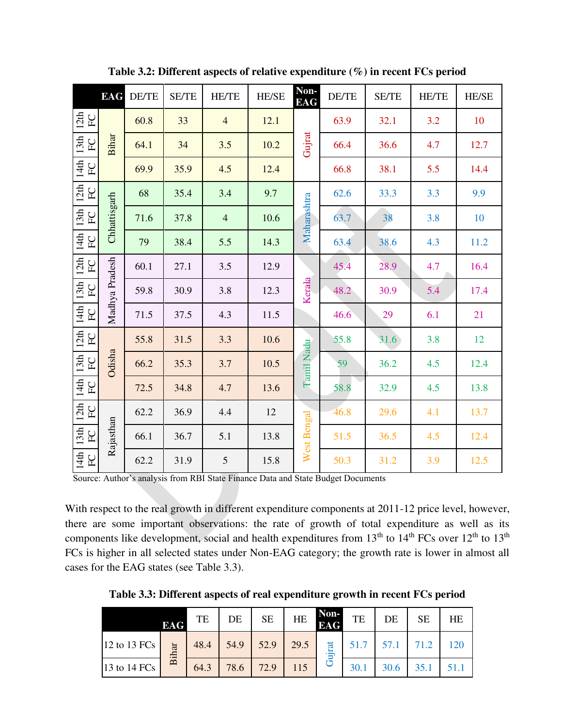|                                    | <b>EAG</b>     | DE/TE | <b>SE/TE</b> | <b>HE/TE</b>   | <b>HE/SE</b> | Non-<br><b>EAG</b> | DE/TE | <b>SE/TE</b> | <b>HE/TE</b> | <b>HE/SE</b> |
|------------------------------------|----------------|-------|--------------|----------------|--------------|--------------------|-------|--------------|--------------|--------------|
| 12th<br>$\overline{F}C$            | <b>Bihar</b>   | 60.8  | 33           | $\overline{4}$ | 12.1         |                    | 63.9  | 32.1         | 3.2          | 10           |
| 13 <sup>th</sup><br>${\rm FC}$     |                | 64.1  | 34           | 3.5            | 10.2         | Gujrat             | 66.4  | 36.6         | 4.7          | 12.7         |
| 14th<br>E                          |                | 69.9  | 35.9         | 4.5            | 12.4         |                    | 66.8  | 38.1         | 5.5          | 14.4         |
| 12th<br>$\rm{F}$                   | Chhattisgarh   | 68    | 35.4         | 3.4            | 9.7          |                    | 62.6  | 33.3         | 3.3          | 9.9          |
| 13th<br>$\overline{F}$             |                | 71.6  | 37.8         | $\overline{4}$ | 10.6         | Maharashtra        | 63.7  | 38           | 3.8          | 10           |
| 14th<br>$\overline{F}$             |                | 79    | 38.4         | 5.5            | 14.3         |                    | 63.4  | 38.6         | 4.3          | 11.2         |
| 12th<br>$\rm{F}$                   |                | 60.1  | 27.1         | 3.5            | 12.9         | Kerala             | 45.4  | 28.9         | 4.7          | 16.4         |
| 13 <sup>th</sup><br>$\overline{F}$ | Madhya Pradesh | 59.8  | 30.9         | 3.8            | 12.3         |                    | 48.2  | 30.9         | 5.4          | 17.4         |
| 14th<br>$\overline{F}$             |                | 71.5  | 37.5         | 4.3            | 11.5         |                    | 46.6  | 29           | 6.1          | 21           |
| 12th<br>$\rm{F}$                   |                | 55.8  | 31.5         | 3.3            | 10.6         |                    | 55.8  | 31.6         | 3.8          | 12           |
| 13th<br>$\overline{F}$             | Odisha         | 66.2  | 35.3         | 3.7            | 10.5         | Tamil Nadu         | 59    | 36.2         | 4.5          | 12.4         |
| 14th<br>$\overline{F}C$            |                | 72.5  | 34.8         | 4.7            | 13.6         |                    | 58.8  | 32.9         | 4.5          | 13.8         |
| 12th<br>$\overline{F}C$            |                | 62.2  | 36.9         | 4.4            | 12           |                    | 46.8  | 29.6         | 4.1          | 13.7         |
| 13 <sup>th</sup><br>E              | Rajasthan      | 66.1  | 36.7         | 5.1            | 13.8         | West Bengal        | 51.5  | 36.5         | 4.5          | 12.4         |
| $14th$<br>${\rm FC}$               |                | 62.2  | 31.9         | 5              | 15.8         |                    | 50.3  | 31.2         | 3.9          | 12.5         |

**Table 3.2: Different aspects of relative expenditure (%) in recent FCs period** 

Source: Author's analysis from RBI State Finance Data and State Budget Documents

With respect to the real growth in different expenditure components at 2011-12 price level, however, there are some important observations: the rate of growth of total expenditure as well as its components like development, social and health expenditures from  $13<sup>th</sup>$  to  $14<sup>th</sup>$  FCs over  $12<sup>th</sup>$  to  $13<sup>th</sup>$ FCs is higher in all selected states under Non-EAG category; the growth rate is lower in almost all cases for the EAG states (see Table 3.3).

**Table 3.3: Different aspects of real expenditure growth in recent FCs period** 

|                | <b>EAG</b> | TE   | DE   | <b>SE</b> | HE   | Non-<br><b>EAG</b> | TE          | DE   | <b>SE</b> | HE  |
|----------------|------------|------|------|-----------|------|--------------------|-------------|------|-----------|-----|
| 12 to 13 $FCs$ | Bihar      | 48.4 | 54.9 | 52.9      | 29.5 | Gujrat             | 51.7        | 57.1 |           | 120 |
| 13 to 14 FCs   |            | 64.3 | 78.6 | 72.9      | 115  |                    | <b>30.1</b> |      |           |     |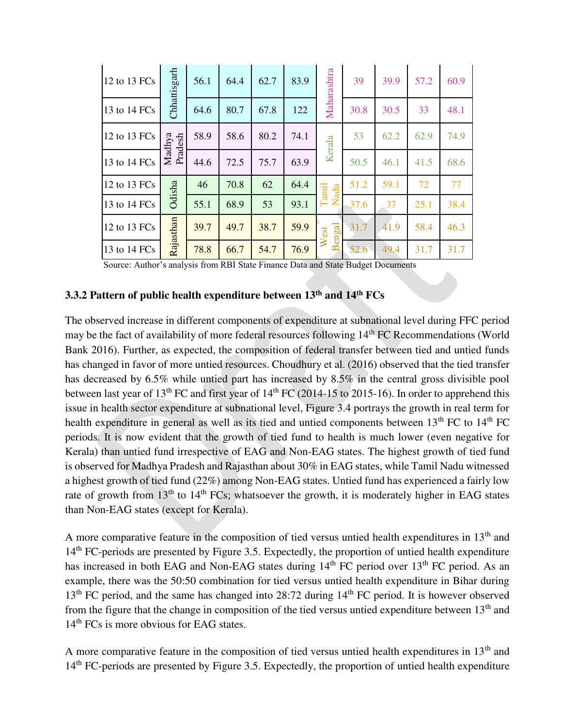| 12 to 13 FCs | Chhattisgarh      | 56.1 | 64.4 | 62.7 | 83.9 | Maharashtra   | 39   | 39.9 | 57.2 | 60.9 |
|--------------|-------------------|------|------|------|------|---------------|------|------|------|------|
| 13 to 14 FCs |                   | 64.6 | 80.7 | 67.8 | 122  |               | 30.8 | 30.5 | 33   | 48.1 |
| 12 to 13 FCs | Madhya<br>Pradesh | 58.9 | 58.6 | 80.2 | 74.1 | Kerala        | 53   | 62.2 | 62.9 | 74.9 |
| 13 to 14 FCs |                   | 44.6 | 72.5 | 75.7 | 63.9 |               | 50.5 | 46.1 | 41.5 | 68.6 |
| 12 to 13 FCs | Odisha            | 46   | 70.8 | 62   | 64.4 | Tamil<br>Nadu | 51.2 | 59.1 | 72   | 77   |
| 13 to 14 FCs |                   | 55.1 | 68.9 | 53   | 93.1 |               | 37.6 | 37   | 25.1 | 38.4 |
| 12 to 13 FCs | Rajasthan         | 39.7 | 49.7 | 38.7 | 59.9 | engal<br>est  | 31.7 | 41.9 | 58.4 | 46.3 |
| 13 to 14 FCs |                   | 78.8 | 66.7 | 54.7 | 76.9 | ≽<br>$\alpha$ | 52.6 | 49.4 | 31.7 | 31.7 |

Source: Author's analysis from RBI State Finance Data and State Budget Documents

## **3.3.2 Pattern of public health expenditure between 13th and 14th FCs**

The observed increase in different components of expenditure at subnational level during FFC period may be the fact of availability of more federal resources following 14th FC Recommendations (World Bank 2016). Further, as expected, the composition of federal transfer between tied and untied funds has changed in favor of more untied resources. Choudhury et al. (2016) observed that the tied transfer has decreased by 6.5% while untied part has increased by 8.5% in the central gross divisible pool between last year of  $13<sup>th</sup>$  FC and first year of  $14<sup>th</sup>$  FC (2014-15 to 2015-16). In order to apprehend this issue in health sector expenditure at subnational level, Figure 3.4 portrays the growth in real term for health expenditure in general as well as its tied and untied components between 13<sup>th</sup> FC to 14<sup>th</sup> FC periods. It is now evident that the growth of tied fund to health is much lower (even negative for Kerala) than untied fund irrespective of EAG and Non-EAG states. The highest growth of tied fund is observed for Madhya Pradesh and Rajasthan about 30% in EAG states, while Tamil Nadu witnessed a highest growth of tied fund (22%) among Non-EAG states. Untied fund has experienced a fairly low rate of growth from  $13<sup>th</sup>$  to  $14<sup>th</sup>$  FCs; whatsoever the growth, it is moderately higher in EAG states than Non-EAG states (except for Kerala).

A more comparative feature in the composition of tied versus untied health expenditures in  $13<sup>th</sup>$  and 14<sup>th</sup> FC-periods are presented by Figure 3.5. Expectedly, the proportion of untied health expenditure has increased in both EAG and Non-EAG states during 14<sup>th</sup> FC period over 13<sup>th</sup> FC period. As an example, there was the 50:50 combination for tied versus untied health expenditure in Bihar during 13<sup>th</sup> FC period, and the same has changed into 28:72 during 14<sup>th</sup> FC period. It is however observed from the figure that the change in composition of the tied versus untied expenditure between  $13<sup>th</sup>$  and 14<sup>th</sup> FCs is more obvious for EAG states.

A more comparative feature in the composition of tied versus untied health expenditures in  $13<sup>th</sup>$  and 14<sup>th</sup> FC-periods are presented by Figure 3.5. Expectedly, the proportion of untied health expenditure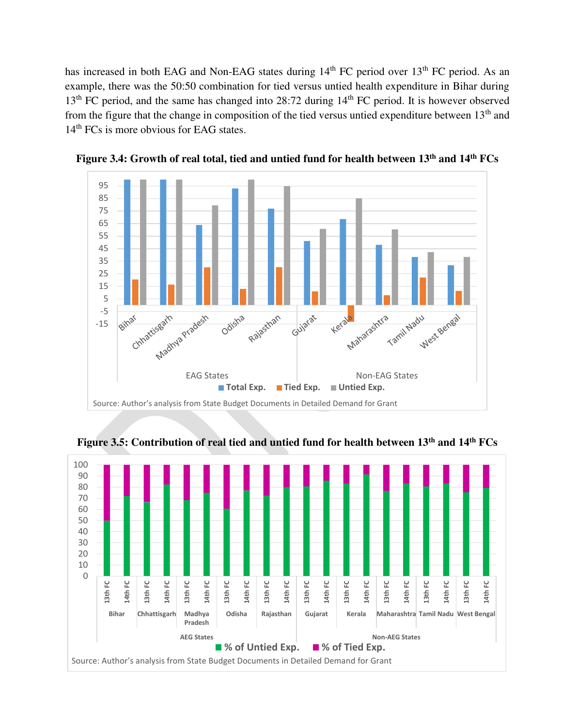has increased in both EAG and Non-EAG states during 14<sup>th</sup> FC period over 13<sup>th</sup> FC period. As an example, there was the 50:50 combination for tied versus untied health expenditure in Bihar during 13<sup>th</sup> FC period, and the same has changed into 28:72 during 14<sup>th</sup> FC period. It is however observed from the figure that the change in composition of the tied versus untied expenditure between  $13<sup>th</sup>$  and 14<sup>th</sup> FCs is more obvious for EAG states.



**Figure 3.4: Growth of real total, tied and untied fund for health between 13th and 14th FCs** 



**Figure 3.5: Contribution of real tied and untied fund for health between 13th and 14th FCs**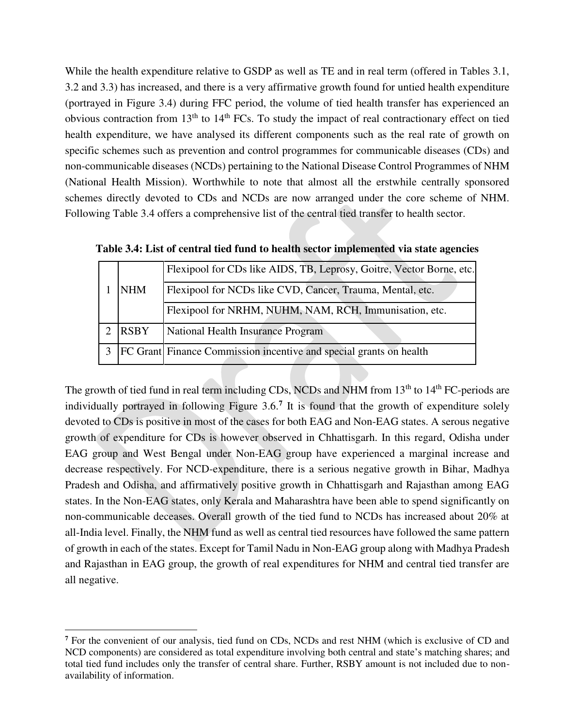While the health expenditure relative to GSDP as well as TE and in real term (offered in Tables 3.1, 3.2 and 3.3) has increased, and there is a very affirmative growth found for untied health expenditure (portrayed in Figure 3.4) during FFC period, the volume of tied health transfer has experienced an obvious contraction from  $13<sup>th</sup>$  to  $14<sup>th</sup>$  FCs. To study the impact of real contractionary effect on tied health expenditure, we have analysed its different components such as the real rate of growth on specific schemes such as prevention and control programmes for communicable diseases (CDs) and non-communicable diseases (NCDs) pertaining to the National Disease Control Programmes of NHM (National Health Mission). Worthwhile to note that almost all the erstwhile centrally sponsored schemes directly devoted to CDs and NCDs are now arranged under the core scheme of NHM. Following Table 3.4 offers a comprehensive list of the central tied transfer to health sector.

|  | <b>NHM</b>  | Flexipool for CDs like AIDS, TB, Leprosy, Goitre, Vector Borne, etc.      |
|--|-------------|---------------------------------------------------------------------------|
|  |             | Flexipool for NCDs like CVD, Cancer, Trauma, Mental, etc.                 |
|  |             | Flexipool for NRHM, NUHM, NAM, RCH, Immunisation, etc.                    |
|  | <b>RSBY</b> | National Health Insurance Program                                         |
|  |             | <b>FC</b> Grant Finance Commission incentive and special grants on health |

**Table 3.4: List of central tied fund to health sector implemented via state agencies** 

The growth of tied fund in real term including CDs, NCDs and NHM from 13<sup>th</sup> to 14<sup>th</sup> FC-periods are individually portrayed in following Figure 3.6.**<sup>7</sup>** It is found that the growth of expenditure solely devoted to CDs is positive in most of the cases for both EAG and Non-EAG states. A serous negative growth of expenditure for CDs is however observed in Chhattisgarh. In this regard, Odisha under EAG group and West Bengal under Non-EAG group have experienced a marginal increase and decrease respectively. For NCD-expenditure, there is a serious negative growth in Bihar, Madhya Pradesh and Odisha, and affirmatively positive growth in Chhattisgarh and Rajasthan among EAG states. In the Non-EAG states, only Kerala and Maharashtra have been able to spend significantly on non-communicable deceases. Overall growth of the tied fund to NCDs has increased about 20% at all-India level. Finally, the NHM fund as well as central tied resources have followed the same pattern of growth in each of the states. Except for Tamil Nadu in Non-EAG group along with Madhya Pradesh and Rajasthan in EAG group, the growth of real expenditures for NHM and central tied transfer are all negative.

 $\overline{a}$ 

<sup>&</sup>lt;sup>7</sup> For the convenient of our analysis, tied fund on CDs, NCDs and rest NHM (which is exclusive of CD and NCD components) are considered as total expenditure involving both central and state's matching shares; and total tied fund includes only the transfer of central share. Further, RSBY amount is not included due to nonavailability of information.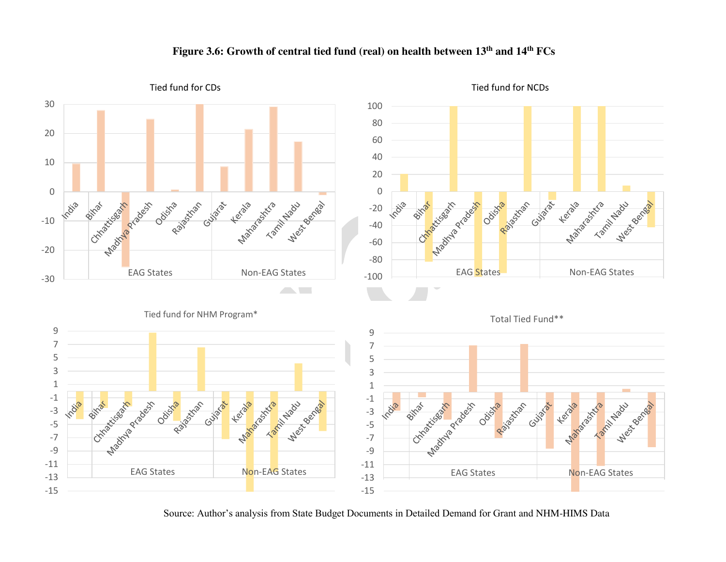

#### **Figure 3.6: Growth of central tied fund (real) on health between 13th and 14th FCs**

Source: Author's analysis from State Budget Documents in Detailed Demand for Grant and NHM-HIMS Data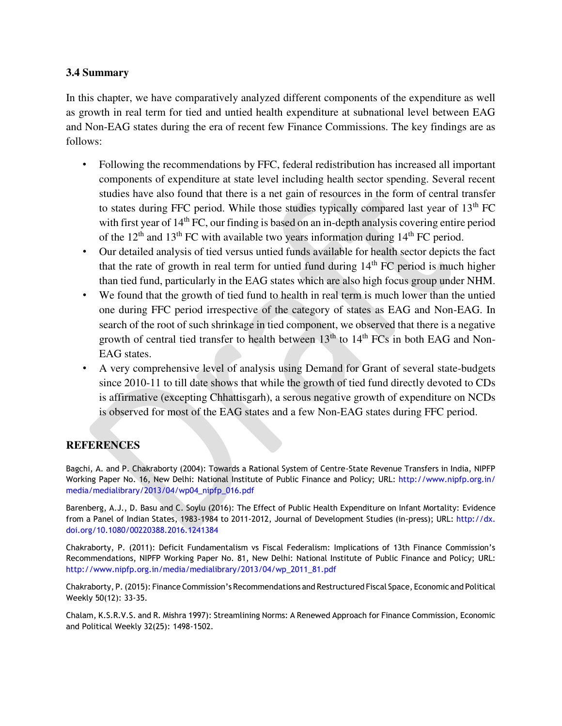#### **3.4 Summary**

In this chapter, we have comparatively analyzed different components of the expenditure as well as growth in real term for tied and untied health expenditure at subnational level between EAG and Non-EAG states during the era of recent few Finance Commissions. The key findings are as follows:

- Following the recommendations by FFC, federal redistribution has increased all important components of expenditure at state level including health sector spending. Several recent studies have also found that there is a net gain of resources in the form of central transfer to states during FFC period. While those studies typically compared last year of  $13<sup>th</sup>$  FC with first year of 14<sup>th</sup> FC, our finding is based on an in-depth analysis covering entire period of the  $12<sup>th</sup>$  and  $13<sup>th</sup>$  FC with available two years information during  $14<sup>th</sup>$  FC period.
- Our detailed analysis of tied versus untied funds available for health sector depicts the fact that the rate of growth in real term for untied fund during  $14<sup>th</sup> FC$  period is much higher than tied fund, particularly in the EAG states which are also high focus group under NHM.
- We found that the growth of tied fund to health in real term is much lower than the untied one during FFC period irrespective of the category of states as EAG and Non-EAG. In search of the root of such shrinkage in tied component, we observed that there is a negative growth of central tied transfer to health between  $13<sup>th</sup>$  to  $14<sup>th</sup>$  FCs in both EAG and Non-EAG states.
- A very comprehensive level of analysis using Demand for Grant of several state-budgets since 2010-11 to till date shows that while the growth of tied fund directly devoted to CDs is affirmative (excepting Chhattisgarh), a serous negative growth of expenditure on NCDs is observed for most of the EAG states and a few Non-EAG states during FFC period.

## **REFERENCES**

Bagchi, A. and P. Chakraborty (2004): Towards a Rational System of Centre-State Revenue Transfers in India, NIPFP Working Paper No. 16, New Delhi: National Institute of Public Finance and Policy; URL: [http://www.nipfp.org.in/](http://www.nipfp.org.in/media/medialibrary/2013/04/wp04_nipfp_016.pdf)  [media/medialibrary/2013/04/wp04\\_nipfp\\_016.pdf](http://www.nipfp.org.in/media/medialibrary/2013/04/wp04_nipfp_016.pdf)

Barenberg, A.J., D. Basu and C. Soylu (2016): The Effect of Public Health Expenditure on Infant Mortality: Evidence from a Panel of Indian States, 1983-1984 to 2011-2012, Journal of Development Studies (in-press); URL: [http://dx.](http://dx.doi.org/10.1080/00220388.2016.1241384)  [doi.org/10.1080/00220388.2016.1241384](http://dx.doi.org/10.1080/00220388.2016.1241384)

Chakraborty, P. (2011): Deficit Fundamentalism vs Fiscal Federalism: Implications of 13th Finance Commission's Recommendations, NIPFP Working Paper No. 81, New Delhi: National Institute of Public Finance and Policy; URL: [http://www.nipfp.org.in/media/medialibrary/2013/04/wp\\_2011\\_81.pdf](http://www.nipfp.org.in/media/medialibrary/2013/04/wp_2011_81.pdf)

Chakraborty, P.(2015): Finance Commission's Recommendations and Restructured Fiscal Space, Economic and Political Weekly 50(12): 33-35.

Chalam, K.S.R.V.S. and R. Mishra 1997): Streamlining Norms: A Renewed Approach for Finance Commission, Economic and Political Weekly 32(25): 1498-1502.